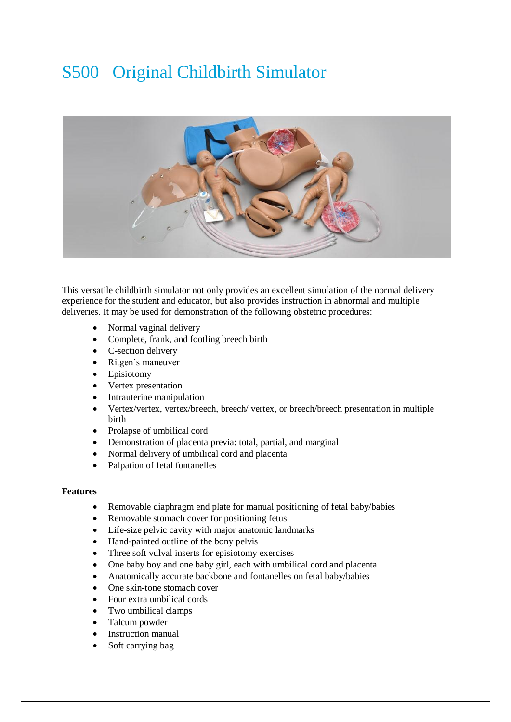## S500 Original Childbirth Simulator



This versatile childbirth simulator not only provides an excellent simulation of the normal delivery experience for the student and educator, but also provides instruction in abnormal and multiple deliveries. It may be used for demonstration of the following obstetric procedures:

- Normal vaginal delivery
- Complete, frank, and footling breech birth
- C-section delivery
- Ritgen's maneuver
- Episiotomy
- Vertex presentation
- Intrauterine manipulation
- Vertex/vertex, vertex/breech, breech/ vertex, or breech/breech presentation in multiple birth
- Prolapse of umbilical cord
- Demonstration of placenta previa: total, partial, and marginal
- Normal delivery of umbilical cord and placenta
- Palpation of fetal fontanelles

## **Features**

- Removable diaphragm end plate for manual positioning of fetal baby/babies
- Removable stomach cover for positioning fetus
- Life-size pelvic cavity with major anatomic landmarks
- Hand-painted outline of the bony pelvis
- Three soft vulval inserts for episiotomy exercises
- One baby boy and one baby girl, each with umbilical cord and placenta
- Anatomically accurate backbone and fontanelles on fetal baby/babies
- One skin-tone stomach cover
- Four extra umbilical cords
- Two umbilical clamps
- Talcum powder
- Instruction manual
- Soft carrying bag